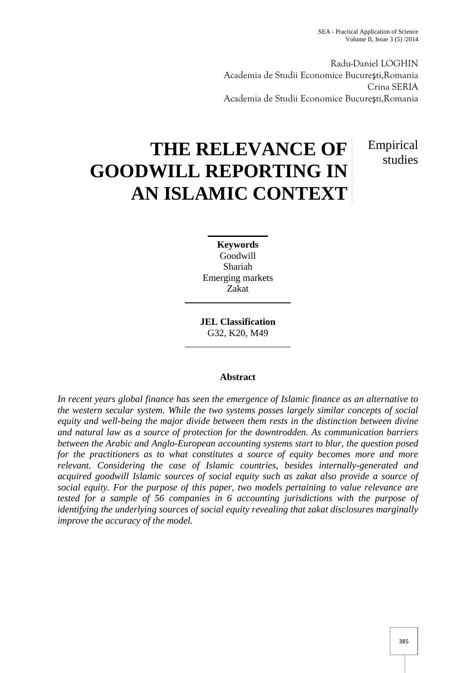Empirical

studies

Radu-Daniel LOGHIN Academia de Studii Economice Bucureşti,Romania Crina SERIA Academia de Studii Economice Bucureşti,Romania

# **THE RELEVANCE OF GOODWILL REPORTING IN AN ISLAMIC CONTEXT**

**Keywords** Goodwill Shariah Emerging markets Zakat

**JEL Classification** G32, K20, M49

# **Abstract**

*In recent years global finance has seen the emergence of Islamic finance as an alternative to the western secular system. While the two systems posses largely similar concepts of social equity and well-being the major divide between them rests in the distinction between divine and natural law as a source of protection for the downtrodden. As communication barriers between the Arabic and Anglo-European accounting systems start to blur, the question posed for the practitioners as to what constitutes a source of equity becomes more and more relevant. Considering the case of Islamic countries, besides internally-generated and acquired goodwill Islamic sources of social equity such as zakat also provide a source of social equity. For the purpose of this paper, two models pertaining to value relevance are tested for a sample of 56 companies in 6 accounting jurisdictions with the purpose of identifying the underlying sources of social equity revealing that zakat disclosures marginally improve the accuracy of the model.*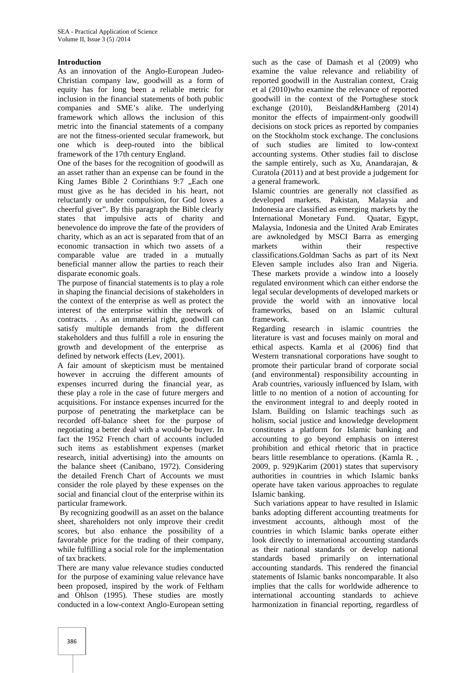#### **Introduction**

As an innovation of the Anglo-European Judeo- Christian company law, goodwill as a form of equity has for long been a reliable metric for inclusion in the financial statements of both public companies and SME's alike. The underlying framework which allows the inclusion of this metric into the financial statements of a company are not the fitness-oriented secular framework, but one which is deep-routed into the biblical framework of the 17th century England.

One of the bases for the recognition of goodwill as an asset rather than an expense can be found in the King James Bible 2 Corinthians 9:7 .Each one must give as he has decided in his heart, not reluctantly or under compulsion, for God loves a cheerful giver". By this paragraph the Bible clearly states that impulsive acts of charity and benevolence do improve the fate of the providers of charity, which as an act is separated from that of an economic transaction in which two assets of a comparable value are traded in a mutually beneficial manner allow the parties to reach their disparate economic goals.

The purpose of financial statements is to play a role in shaping the financial decisions of stakeholders in the context of the enterprise as well as protect the interest of the enterprise within the network of contracts. . As an immaterial right, goodwill can satisfy multiple demands from the different stakeholders and thus fulfill a role in ensuring the growth and development of the enterprise as defined by network effects (Lev, 2001).

A fair amount of skepticism must be mentained however in accruing the different amounts of expenses incurred during the financial year, as these play a role in the case of future mergers and acquisitions. For instance expenses incurred for the purpose of penetrating the marketplace can be recorded off-balance sheet for the purpose of negotiating a better deal with a would-be buyer. In fact the 1952 French chart of accounts included such items as establishment expenses (market research, initial advertising) into the amounts on the balance sheet (Canibano, 1972). Considering the detailed French Chart of Accounts we must consider the role played by these expenses on the social and financial clout of the enterprise within its particular framework.

By recognizing goodwill as an asset on the balance sheet, shareholders not only improve their credit scores, but also enhance the possibility of a favorable price for the trading of their company, while fulfilling a social role for the implementation of tax brackets.

There are many value relevance studies conducted for the purpose of examining value relevance have been proposed, inspired by the work of Feltham and Ohlson (1995). These studies are mostly conducted in a low-context Anglo-European setting

such as the case of Damash et al (2009) who examine the value relevance and reliability of reported goodwill in the Australian context, Craig et al (2010)who examine the relevance of reported goodwill in the context of the Portughese stock Beisland&Hamberg  $(2014)$ monitor the effects of impairment-only goodwill decisions on stock prices as reported by companies on the Stockholm stock exchange. The conclusions of such studies are limited to low-context accounting systems. Other studies fail to disclose the sample entirely, such as Xu, Anandarajan, & Curatola (2011) and at best provide a judgement for a general framework.

Islamic countries are generally not classified as developed markets. Pakistan, Malaysia and Indonesia are classified as emerging markets by the International Monetary Fund. Quatar, Egypt, Malaysia, Indonesia and the United Arab Emirates are awknoledged by MSCI Barra as emerging markets within their respective classifications.Goldman Sachs as part of its Next Eleven sample includes also Iran and Nigeria. These markets provide a window into a loosely regulated environment which can either endorse the legal secular developments of developed markets or provide the world with an innovative local frameworks, based on an Islamic cultural framework.

Regarding research in islamic countries the literature is vast and focuses mainly on moral and ethical aspects. Kamla et al (2006) find that Western transnational corporations have sought to promote their particular brand of corporate social (and environmental) responsibility accounting in Arab countries, variously influenced by Islam, with little to no mention of a notion of accounting for the environment integral to and deeply rooted in Islam. Building on Islamic teachings such as holism, social justice and knowledge development constitutes a platform for Islamic banking and accounting to go beyond emphasis on interest prohibition and ethical rhetoric that in practice bears little resemblance to operations. (Kamla R. , 2009, p. 929)Karim (2001) states that supervisory authorities in countries in which Islamic banks operate have taken various approaches to regulate Islamic banking.

Such variations appear to have resulted in Islamic banks adopting different accounting treatments for investment accounts, although most of the countries in which Islamic banks operate either look directly to international accounting standards as their national standards or develop national standards based primarily on international accounting standards. This rendered the financial statements of Islamic banks noncomparable. It also implies that the calls for worldwide adherence to international accounting standards to achieve harmonization in financial reporting, regardless of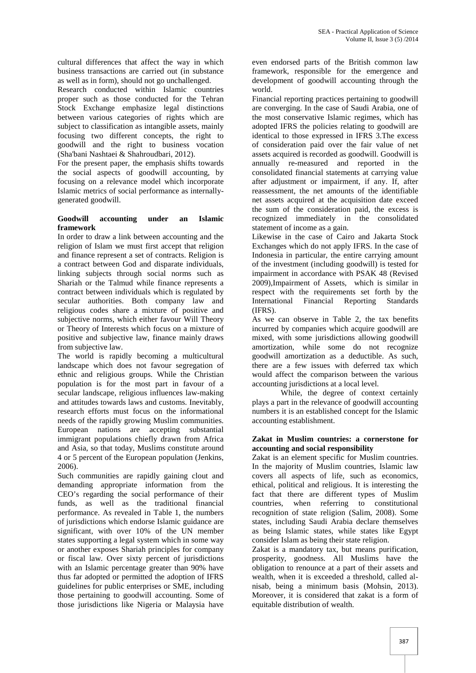cultural differences that affect the way in which business transactions are carried out (in substance as well as in form), should not go unchallenged.

Research conducted within Islamic countries proper such as those conducted for the Tehran Stock Exchange emphasize legal distinctions between various categories of rights which are subject to classification as intangible assets, mainly focusing two different concepts, the right to goodwill and the right to business vocation (Sha'bani Nashtaei & Shahroudbari, 2012).

For the present paper, the emphasis shifts towards the social aspects of goodwill accounting, by focusing on a relevance model which incorporate Islamic metrics of social performance as internally generated goodwill.

## **Goodwill accounting under an Islamic framework**

In order to draw a link between accounting and the religion of Islam we must first accept that religion and finance represent a set of contracts. Religion is a contract between God and disparate individuals, linking subjects through social norms such as Shariah or the Talmud while finance represents a contract between individuals which is regulated by secular authorities. Both company law and religious codes share a mixture of positive and subjective norms, which either favour Will Theory or Theory of Interests which focus on a mixture of positive and subjective law, finance mainly draws from subjective law.

The world is rapidly becoming a multicultural landscape which does not favour segregation of ethnic and religious groups. While the Christian population is for the most part in favour of a secular landscape, religious influences law-making and attitudes towards laws and customs. Inevitably, research efforts must focus on the informational needs of the rapidly growing Muslim communities. European nations are accepting substantial immigrant populations chiefly drawn from Africa and Asia, so that today, Muslims constitute around 4 or 5 percent of the European population (Jenkins, 2006).

Such communities are rapidly gaining clout and demanding appropriate information from the CEO's regarding the social performance of their funds, as well as the traditional financial performance. As revealed in Table 1, the numbers of jurisdictions which endorse Islamic guidance are significant, with over 10% of the UN member states supporting a legal system which in some way or another exposes Shariah principles for company or fiscal law. Over sixty percent of jurisdictions with an Islamic percentage greater than 90% have thus far adopted or permitted the adoption of IFRS guidelines for public enterprises or SME, including those pertaining to goodwill accounting. Some of those jurisdictions like Nigeria or Malaysia have

even endorsed parts of the British common law framework, responsible for the emergence and development of goodwill accounting through the world.

Financial reporting practices pertaining to goodwill are converging. In the case of Saudi Arabia, one of the most conservative Islamic regimes, which has adopted IFRS the policies relating to goodwill are identical to those expressed in IFRS 3.The excess of consideration paid over the fair value of net assets acquired is recorded as goodwill. Goodwill is annually re-measured and reported in the consolidated financial statements at carrying value after adjustment or impairment, if any. If, after reassessment, the net amounts of the identifiable net assets acquired at the acquisition date exceed the sum of the consideration paid, the excess is recognized immediately in the consolidated statement of income as a gain.

Likewise in the case of Cairo and Jakarta Stock Exchanges which do not apply IFRS. In the case of Indonesia in particular, the entire carrying amount of the investment (including goodwill) is tested for impairment in accordance with PSAK 48 (Revised 2009),Impairment of Assets, which is similar in respect with the requirements set forth by the Financial Reporting Standards (IFRS).

As we can observe in Table 2, the tax benefits incurred by companies which acquire goodwill are mixed, with some jurisdictions allowing goodwill amortization, while some do not recognize goodwill amortization as a deductible. As such, there are a few issues with deferred tax which would affect the comparison between the various accounting jurisdictions at a local level.

While, the degree of context certainly plays a part in the relevance of goodwill accounting numbers it is an established concept for the Islamic accounting establishment.

#### **Zakat in Muslim countries: a cornerstone for accounting and social responsibility**

Zakat is an element specific for Muslim countries. In the majority of Muslim countries, Islamic law covers all aspects of life, such as economics, ethical, political and religious. It is interesting the fact that there are different types of Muslim countries, when referring to constitutional recognition of state religion (Salim, 2008). Some states, including Saudi Arabia declare themselves as being Islamic states, while states like Egypt consider Islam as being their state religion.

Zakat is a mandatory tax, but means purification, prosperity, goodness. All Muslims have the obligation to renounce at a part of their assets and wealth, when it is exceeded a threshold, called al nisab, being a minimum basis (Mohsin, 2013). Moreover, it is considered that zakat is a form of equitable distribution of wealth.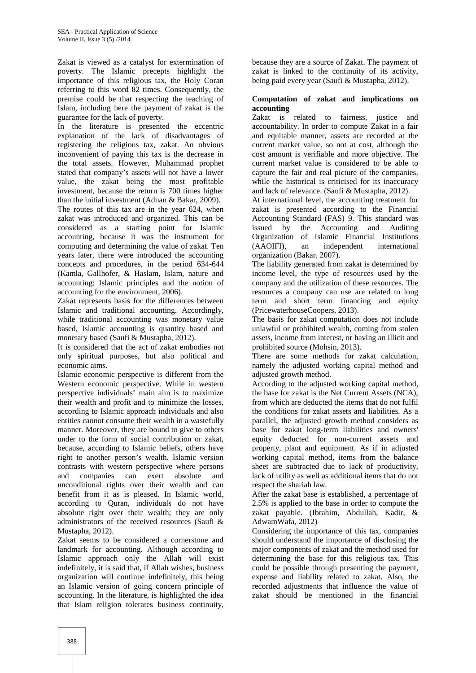Zakat is viewed as a catalyst for extermination of poverty. The Islamic precepts highlight the importance of this religious tax, the Holy Coran referring to this word 82 times. Consequently, the premise could be that respecting the teaching of Islam, including here the payment of zakat is the guarantee for the lack of poverty.

In the literature is presented the eccentric explanation of the lack of disadvantages of registering the religious tax, zakat. An obvious inconvenient of paying this tax is the decrease in the total assets. However, Muhammad prophet stated that company's assets will not have a lower value, the zakat being the most profitable investment, because the return is 700 times higher than the initial investment (Adnan & Bakar, 2009).

The routes of this tax are in the year 624, when zakat was introduced and organized. This can be considered as a starting point for Islamic accounting, because it was the instrument for computing and determining the value of zakat. Ten (AAOIFI), years later, there were introduced the accounting concepts and procedures, in the period 634-644 (Kamla, Gallhofer, & Haslam, Islam, nature and accounting: Islamic principles and the notion of accounting for the environment, 2006).

Zakat represents basis for the differences between Islamic and traditional accounting. Accordingly, while traditional accounting was monetary value based, Islamic accounting is quantity based and monetary based (Saufi & Mustapha, 2012).

It is considered that the act of zakat embodies not only spiritual purposes, but also political and economic aims.

Islamic economic perspective is different from the Western economic perspective. While in western perspective individuals' main aim is to maximize their wealth and profit and to minimize the losses, according to Islamic approach individuals and also entities cannot consume their wealth in a wastefully manner. Moreover, they are bound to give to others under to the form of social contribution or zakat, because, according to Islamic beliefs, others have right to another person's wealth. Islamic version contrasts with western perspective where persons and companies can exert absolute and unconditional rights over their wealth and can benefit from it as is pleased. In Islamic world, according to Quran, individuals do not have absolute right over their wealth; they are only administrators of the received resources (Saufi & Mustapha, 2012).

Zakat seems to be considered a cornerstone and landmark for accounting. Although according to Islamic approach only the Allah will exist indefinitely, it is said that, if Allah wishes, business organization will continue indefinitely, this being an Islamic version of going concern principle of accounting. In the literature, is highlighted the idea that Islam religion tolerates business continuity,

because they are a source of Zakat. The payment of zakat is linked to the continuity of its activity, being paid every year (Saufi & Mustapha, 2012).

#### **Computation of zakat and implications on accounting**

Zakat is related to fairness, justice and accountability. In order to compute Zakat in a fair and equitable manner, assets are recorded at the current market value, so not at cost, although the cost amount is verifiable and more objective. The current market value is considered to be able to capture the fair and real picture of the companies, while the historical is criticised for its inaccuracy and lack of relevance. (Saufi & Mustapha, 2012).

At international level, the accounting treatment for zakat is presented according to the Financial Accounting Standard (FAS) 9. This standard was issued by the Accounting and Auditing Organization of Islamic Financial Institutions an independent international organization (Bakar, 2007).

The liability generated from zakat is determined by income level, the type of resources used by the company and the utilization of these resources. The resources a company can use are related to long term and short term financing and equity (PricewaterhouseCoopers, 2013).

The basis for zakat computation does not include unlawful or prohibited wealth, coming from stolen assets, income from interest, or having an illicit and prohibited source (Mohsin, 2013).

There are some methods for zakat calculation, namely the adjusted working capital method and adjusted growth method.

According to the adjusted working capital method, the base for zakat is the Net Current Assets (NCA), from which are deducted the items that do not fulfil the conditions for zakat assets and liabilities. As a parallel, the adjusted growth method considers as base for zakat long-term liabilities and owners' equity deducted for non-current assets and property, plant and equipment. As if in adjusted working capital method, items from the balance sheet are subtracted due to lack of productivity, lack of utility as well as additional items that do not respect the shariah law.

After the zakat base is established, a percentage of 2.5% is applied to the base in order to compute the zakat payable. (Ibrahim, Abdullah, Kadir, & AdwamWafa, 2012)

Considering the importance of this tax, companies should understand the importance of disclosing the major components of zakat and the method used for determining the base for this religious tax. This could be possible through presenting the payment, expense and liability related to zakat. Also, the recorded adjustments that influence the value of zakat should be mentioned in the financial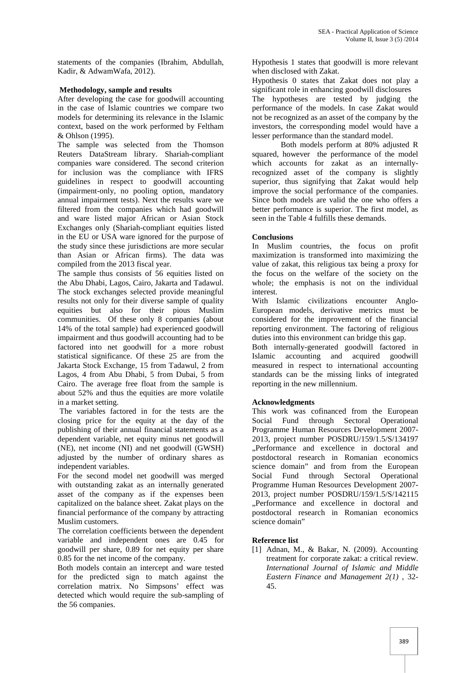statements of the companies (Ibrahim, Abdullah, Kadir, & AdwamWafa, 2012).

## **Methodology, sample and results**

After developing the case for goodwill accounting in the case of Islamic countries we compare two models for determining its relevance in the Islamic context, based on the work performed by Feltham & Ohlson (1995).

The sample was selected from the Thomson Reuters DataStream library. Shariah-compliant companies ware considered. The second criterion for inclusion was the compliance with IFRS guidelines in respect to goodwill accounting (impairment-only, no pooling option, mandatory annual impairment tests). Next the results ware we filtered from the companies which had goodwill and ware listed major African or Asian Stock Exchanges only (Shariah-compliant equities listed in the EU or USA ware ignored for the purpose of the study since these jurisdictions are more secular than Asian or African firms). The data was compiled from the 2013 fiscal year.

The sample thus consists of 56 equities listed on the Abu Dhabi, Lagos, Cairo, Jakarta and Tadawul. The stock exchanges selected provide meaningful results not only for their diverse sample of quality equities but also for their pious Muslim communities. Of these only 8 companies (about 14% of the total sample) had experienced goodwill impairment and thus goodwill accounting had to be factored into net goodwill for a more robust statistical significance. Of these 25 are from the Jakarta Stock Exchange, 15 from Tadawul, 2 from Lagos, 4 from Abu Dhabi, 5 from Dubai, 5 from Cairo. The average free float from the sample is about 52% and thus the equities are more volatile in a market setting.

The variables factored in for the tests are the closing price for the equity at the day of the publishing of their annual financial statements as a dependent variable, net equity minus net goodwill (NE), net income (NI) and net goodwill (GWSH) adjusted by the number of ordinary shares as independent variables.

For the second model net goodwill was merged with outstanding zakat as an internally generated asset of the company as if the expenses been capitalized on the balance sheet. Zakat plays on the financial performance of the company by attracting Muslim customers.

The correlation coefficients between the dependent variable and independent ones are 0.45 for goodwill per share, 0.89 for net equity per share 0.85 for the net income of the company.

Both models contain an intercept and ware tested for the predicted sign to match against the correlation matrix. No Simpsons' effect was detected which would require the sub-sampling of the 56 companies.

Hypothesis 1 states that goodwill is more relevant when disclosed with Zakat.

Hypothesis 0 states that Zakat does not play a significant role in enhancing goodwill disclosures

The hypotheses are tested by judging the performance of the models. In case Zakat would not be recognized as an asset of the company by the investors, the corresponding model would have a lesser performance than the standard model.

Both models perform at 80% adjusted R squared, however the performance of the model which accounts for zakat as an internallyrecognized asset of the company is slightly superior, thus signifying that Zakat would help improve the social performance of the companies. Since both models are valid the one who offers a better performance is superior. The first model, as seen in the Table 4 fulfills these demands.

## **Conclusions**

In Muslim countries, the focus on profit maximization is transformed into maximizing the value of zakat, this religious tax being a proxy for the focus on the welfare of the society on the whole; the emphasis is not on the individual interest.

With Islamic civilizations encounter Anglo- European models, derivative metrics must be considered for the improvement of the financial reporting environment. The factoring of religious duties into this environment can bridge this gap.

Both internally-generated goodwill factored in Islamic accounting and acquired goodwill measured in respect to international accounting standards can be the missing links of integrated reporting in the new millennium.

# **Acknowledgments**

This work was cofinanced from the European Social Fund through Sectoral Operational Programme Human Resources Development 2007- 2013, project number POSDRU/159/1.5/S/134197 ..Performance and excellence in doctoral and postdoctoral research in Romanian economics science domain" and from from the European Social Fund through Sectoral Operational Programme Human Resources Development 2007- 2013, project number POSDRU/159/1.5/S/142115 ..Performance and excellence in doctoral and postdoctoral research in Romanian economics science domain"

# **Reference list**

[1] Adnan, M., & Bakar, N. (2009). Accounting treatment for corporate zakat: a critical review. *International Journal of Islamic and Middle Eastern Finance and Management 2(1)* , 32- 45.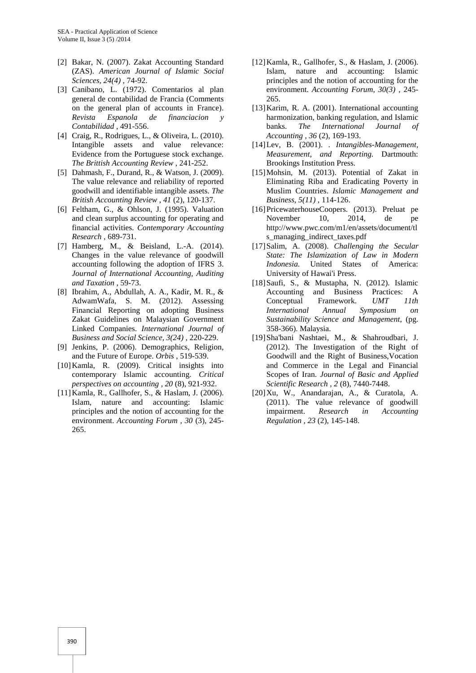- [2] Bakar, N. (2007). Zakat Accounting Standard (ZAS). *American Journal of Islamic Social Sciences, 24(4)* , 74-92.
- [3] Canibano, L. (1972). Comentarios al plan general de contabilidad de Francia (Comments on the general plan of accounts in France). *Revista Espanola de financiacion y Contabilidad* , 491-556.
- [4] Craig, R., Rodrigues, L., & Oliveira, L. (2010). Intangible assets and value relevance: Evidence from the Portuguese stock exchange. *The Brittish Accounting Review* , 241-252.
- [5] Dahmash, F., Durand, R., & Watson, J. (2009). The value relevance and reliability of reported goodwill and identifiable intangible assets. *The British Accounting Review , 41* (2), 120-137.
- [6] Feltham, G., & Ohlson, J. (1995). Valuation and clean surplus accounting for operating and financial activities. *Contemporary Accounting Research* , 689-731.
- [7] Hamberg, M., & Beisland, L.-A. (2014). Changes in the value relevance of goodwill accounting following the adoption of IFRS 3. *Journal of International Accounting, Auditing and Taxation* , 59-73.
- [8] Ibrahim, A., Abdullah, A. A., Kadir, M. R., & AdwamWafa, S. M. (2012). Assessing Financial Reporting on adopting Business Zakat Guidelines on Malaysian Government Linked Companies. *International Journal of Business and Social Science, 3(24)* , 220-229.
- [9] Jenkins, P. (2006). Demographics, Religion, and the Future of Europe. *Orbis* , 519-539.
- [10]Kamla, R. (2009). Critical insights into contemporary Islamic accounting. *Critical perspectives on accounting , 20* (8), 921-932.
- [11]Kamla, R., Gallhofer, S., & Haslam, J. (2006). Islam, nature and accounting: Islamic principles and the notion of accounting for the environment. *Accounting Forum , 30* (3), 245- 265.
- [12]Kamla, R., Gallhofer, S., & Haslam, J. (2006). Islam, nature and accounting: Islamic principles and the notion of accounting for the environment. *Accounting Forum, 30(3)* , 245- 265.
- [13]Karim, R. A. (2001). International accounting harmonization, banking regulation, and Islamic banks. *The International Journal of Accounting , 36* (2), 169-193.
- [14]Lev, B. (2001). *. Intangibles-Management, Measurement, and Reporting.* Dartmouth: Brookings Institution Press.
- [15] Mohsin, M. (2013). Potential of Zakat in Eliminating Riba and Eradicating Poverty in Muslim Countries. *Islamic Management and Business, 5(11)* , 114-126.
- [16]PricewaterhouseCoopers. (2013). Preluat pe November 10, 2014, de pe http://www.pwc.com/m1/en/assets/document/tl s\_managing\_indirect\_taxes.pdf
- [17]Salim, A. (2008). *Challenging the Secular State: The Islamization of Law in Modern Indonesia.* United States of America: University of Hawai'i Press.
- [18]Saufi, S., & Mustapha, N. (2012). Islamic Accounting and Business Practices: A Conceptual Framework. *UMT 11th International Annual Symposium on Sustainability Science and Management*, (pg. 358-366). Malaysia.
- [19]Sha'bani Nashtaei, M., & Shahroudbari, J. (2012). The Investigation of the Right of Goodwill and the Right of Business,Vocation and Commerce in the Legal and Financial Scopes of Iran. *Journal of Basic and Applied Scientific Research , 2* (8), 7440-7448.
- [20]Xu, W., Anandarajan, A., & Curatola, A. (2011). The value relevance of goodwill impairment. *Research in Accounting Regulation , 23* (2), 145-148.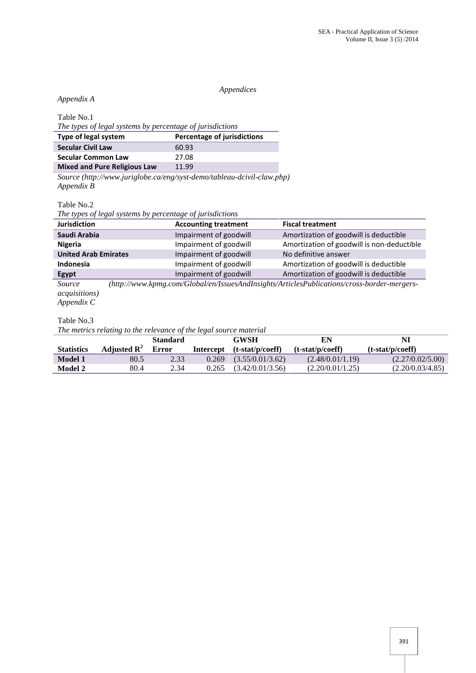#### *Appendices*

# *Appendix A*

Table No.1

| The types of legal systems by percentage of jurisdictions |                             |  |  |  |
|-----------------------------------------------------------|-----------------------------|--|--|--|
| Type of legal system                                      | Percentage of jurisdictions |  |  |  |
| <b>Secular Civil Law</b>                                  | 60.93                       |  |  |  |
| <b>Secular Common Law</b>                                 | 27.08                       |  |  |  |
| <b>Mixed and Pure Religious Law</b>                       | 11.99                       |  |  |  |

*Source (http://www.juriglobe.ca/eng/syst-demo/tableau-dcivil-claw.php) Appendix B*

Table No.2

*The types of legal systems by percentage of jurisdictions*

| <b>Jurisdiction</b>         | <b>Accounting treatment</b> | <b>Fiscal treatment</b>                    |  |
|-----------------------------|-----------------------------|--------------------------------------------|--|
| Saudi Arabia                | Impairment of goodwill      | Amortization of goodwill is deductible     |  |
| <b>Nigeria</b>              | Impairment of goodwill      | Amortization of goodwill is non-deductible |  |
| <b>United Arab Emirates</b> | Impairment of goodwill      | No definitive answer                       |  |
| Indonesia                   | Impairment of goodwill      | Amortization of goodwill is deductible     |  |
| <b>Egypt</b>                | Impairment of goodwill      | Amortization of goodwill is deductible     |  |

*Source (http://www.kpmg.com/Global/en/IssuesAndInsights/ArticlesPublications/cross-border-mergers acquisitions)*

*Appendix C*

## Table No.3

*The metrics relating to the relevance of the legal source material*

|                   |                | <b>Standard</b> |           | GWSH               | EN                 | NI                 |
|-------------------|----------------|-----------------|-----------|--------------------|--------------------|--------------------|
| <b>Statistics</b> | Adjusted $R^2$ | <b>Error</b>    | Intercept | $(t-stat/p/coeff)$ | $(t-stat/p/coeff)$ | $(t-stat/p/coeff)$ |
| <b>Model 1</b>    | 80.5           | 2.33            | 0.269     | (3.55/0.01/3.62)   | (2.48/0.01/1.19)   | (2.27/0.02/5.00)   |
| Model 2           | 80.4           | 2.34            | 0.265     | (3.42/0.01/3.56)   | (2.20/0.01/1.25)   | (2.20/0.03/4.85)   |